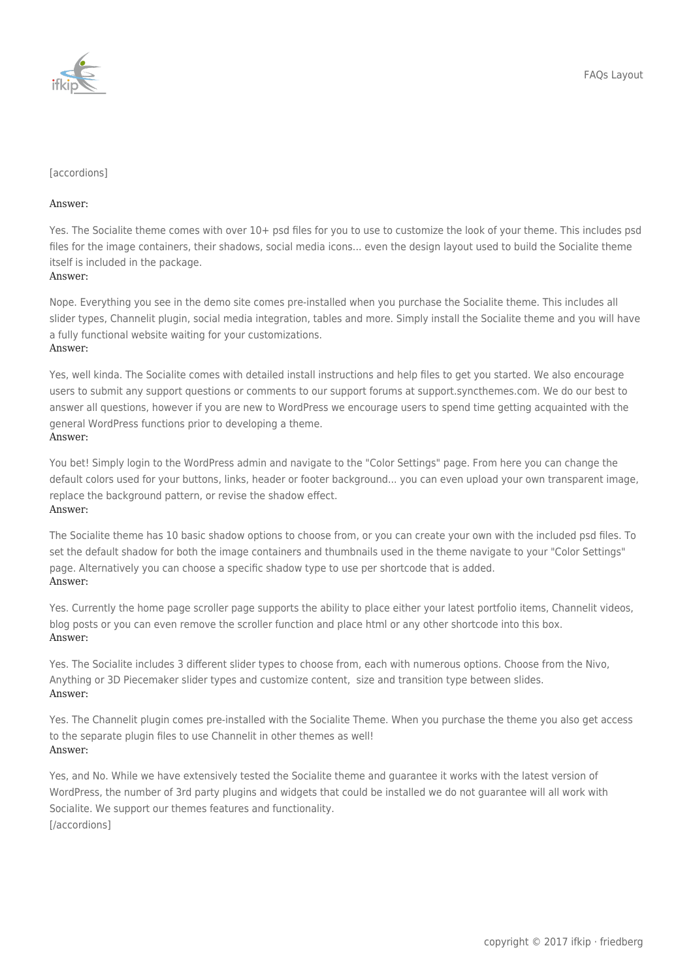

## [accordions]

## Answer:

Yes. The Socialite theme comes with over 10+ psd files for you to use to customize the look of your theme. This includes psd files for the image containers, their shadows, social media icons... even the design layout used to build the Socialite theme itself is included in the package.

## Answer:

Nope. Everything you see in the demo site comes pre-installed when you purchase the Socialite theme. This includes all slider types, Channelit plugin, social media integration, tables and more. Simply install the Socialite theme and you will have a fully functional website waiting for your customizations. Answer:

Yes, well kinda. The Socialite comes with detailed install instructions and help files to get you started. We also encourage users to submit any support questions or comments to our support forums at [support.syncthemes.com.](https://ifkip.de/support.syncthemes.com) We do our best to answer all questions, however if you are new to WordPress we encourage users to spend time getting acquainted with the general WordPress functions prior to developing a theme. Answer:

You bet! Simply login to the WordPress admin and navigate to the "Color Settings" page. From here you can change the default colors used for your buttons, links, header or footer background... you can even upload your own transparent image, replace the background pattern, or revise the shadow effect. Answer:

The Socialite theme has 10 basic shadow options to choose from, or you can create your own with the included psd files. To set the default shadow for both the image containers and thumbnails used in the theme navigate to your "Color Settings" page. Alternatively you can choose a specific shadow type to use per shortcode that is added. Answer:

Yes. Currently the home page scroller page supports the ability to place either your latest portfolio items, Channelit videos, blog posts or you can even remove the scroller function and place html or any other shortcode into this box. Answer:

Yes. The Socialite includes 3 different slider types to choose from, each with numerous options. Choose from the Nivo, Anything or 3D Piecemaker slider types and customize content, size and transition type between slides. Answer:

Yes. The Channelit plugin comes pre-installed with the Socialite Theme. When you purchase the theme you also get access to the separate plugin files to use Channelit in other themes as well! Answer:

Yes, and No. While we have extensively tested the Socialite theme and guarantee it works with the latest version of WordPress, the number of 3rd party plugins and widgets that could be installed we do not guarantee will all work with Socialite. We support our themes features and functionality. [/accordions]